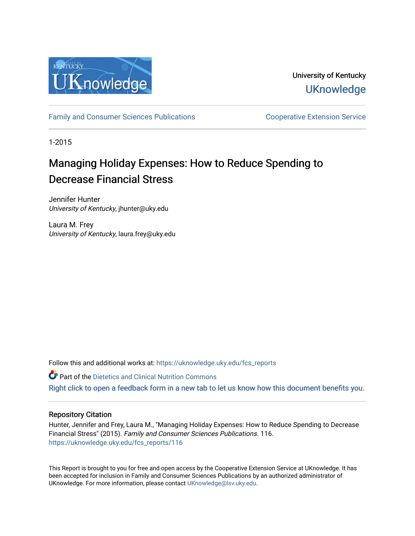

University of Kentucky **UKnowledge** 

[Family and Consumer Sciences Publications](https://uknowledge.uky.edu/fcs_reports) **Consumer Service** Cooperative Extension Service

1-2015

# Managing Holiday Expenses: How to Reduce Spending to Decrease Financial Stress

Jennifer Hunter University of Kentucky, jhunter@uky.edu

Laura M. Frey University of Kentucky, laura.frey@uky.edu

Follow this and additional works at: [https://uknowledge.uky.edu/fcs\\_reports](https://uknowledge.uky.edu/fcs_reports?utm_source=uknowledge.uky.edu%2Ffcs_reports%2F116&utm_medium=PDF&utm_campaign=PDFCoverPages) 

**Part of the Dietetics and Clinical Nutrition Commons** 

[Right click to open a feedback form in a new tab to let us know how this document benefits you.](https://uky.az1.qualtrics.com/jfe/form/SV_9mq8fx2GnONRfz7)

#### Repository Citation

Hunter, Jennifer and Frey, Laura M., "Managing Holiday Expenses: How to Reduce Spending to Decrease Financial Stress" (2015). Family and Consumer Sciences Publications. 116. [https://uknowledge.uky.edu/fcs\\_reports/116](https://uknowledge.uky.edu/fcs_reports/116?utm_source=uknowledge.uky.edu%2Ffcs_reports%2F116&utm_medium=PDF&utm_campaign=PDFCoverPages) 

This Report is brought to you for free and open access by the Cooperative Extension Service at UKnowledge. It has been accepted for inclusion in Family and Consumer Sciences Publications by an authorized administrator of UKnowledge. For more information, please contact [UKnowledge@lsv.uky.edu](mailto:UKnowledge@lsv.uky.edu).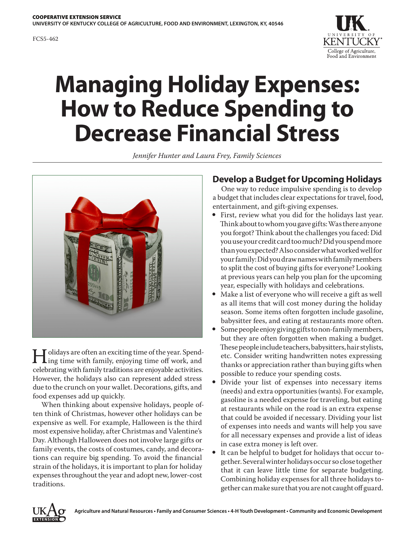

# **Managing Holiday Expenses: How to Reduce Spending to Decrease Financial Stress**

*Jennifer Hunter and Laura Frey, Family Sciences*



I olidays are often an exciting time of the year. Spend-<br>ing time with family, enjoying time off work, and<br>celebrating with family traditions are enjoyable activities celebrating with family traditions are enjoyable activities. However, the holidays also can represent added stress due to the crunch on your wallet. Decorations, gifts, and food expenses add up quickly.

When thinking about expensive holidays, people often think of Christmas, however other holidays can be expensive as well. For example, Halloween is the third most expensive holiday, after Christmas and Valentine's Day. Although Halloween does not involve large gifts or family events, the costs of costumes, candy, and decorations can require big spending. To avoid the financial strain of the holidays, it is important to plan for holiday expenses throughout the year and adopt new, lower-cost traditions.

#### **Develop a Budget for Upcoming Holidays**

One way to reduce impulsive spending is to develop a budget that includes clear expectations for travel, food, entertainment, and gift-giving expenses.

- First, review what you did for the holidays last year. Think about to whom you gave gifts: Was there anyone you forgot? Think about the challenges you faced: Did you use your credit card too much? Did you spend more than you expected? Also consider what worked well for your family: Did you draw names with family members to split the cost of buying gifts for everyone? Looking at previous years can help you plan for the upcoming year, especially with holidays and celebrations.
- Make a list of everyone who will receive a gift as well as all items that will cost money during the holiday season. Some items often forgotten include gasoline, babysitter fees, and eating at restaurants more often.
- Some people enjoy giving gifts to non-family members, but they are often forgotten when making a budget. These people include teachers, babysitters, hair stylists, etc. Consider writing handwritten notes expressing thanks or appreciation rather than buying gifts when possible to reduce your spending costs.
- Divide your list of expenses into necessary items (needs) and extra opportunities (wants). For example, gasoline is a needed expense for traveling, but eating at restaurants while on the road is an extra expense that could be avoided if necessary. Dividing your list of expenses into needs and wants will help you save for all necessary expenses and provide a list of ideas in case extra money is left over.
- It can be helpful to budget for holidays that occur together. Several winter holidays occur so close together that it can leave little time for separate budgeting. Combining holiday expenses for all three holidays together can make sure that you are not caught off guard.

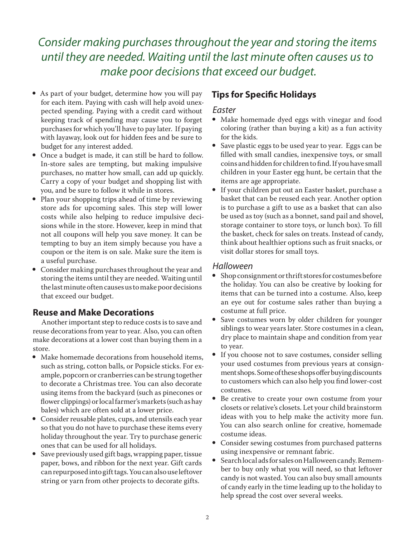# *Consider making purchases throughout the year and storing the items until they are needed. Waiting until the last minute often causes us to make poor decisions that exceed our budget.*

- As part of your budget, determine how you will pay for each item. Paying with cash will help avoid unexpected spending. Paying with a credit card without keeping track of spending may cause you to forget purchases for which you'll have to pay later. If paying with layaway, look out for hidden fees and be sure to budget for any interest added.
- Once a budget is made, it can still be hard to follow. In-store sales are tempting, but making impulsive purchases, no matter how small, can add up quickly. Carry a copy of your budget and shopping list with you, and be sure to follow it while in stores.
- Plan your shopping trips ahead of time by reviewing store ads for upcoming sales. This step will lower costs while also helping to reduce impulsive decisions while in the store. However, keep in mind that not all coupons will help you save money. It can be tempting to buy an item simply because you have a coupon or the item is on sale. Make sure the item is a useful purchase.
- Consider making purchases throughout the year and storing the items until they are needed. Waiting until the last minute often causes us to make poor decisions that exceed our budget.

### **Reuse and Make Decorations**

Another important step to reduce costs is to save and reuse decorations from year to year. Also, you can often make decorations at a lower cost than buying them in a store.

- Make homemade decorations from household items, such as string, cotton balls, or Popsicle sticks. For example, popcorn or cranberries can be strung together to decorate a Christmas tree. You can also decorate using items from the backyard (such as pinecones or flower clippings) or local farmer's markets (such as hay bales) which are often sold at a lower price.
- Consider reusable plates, cups, and utensils each year so that you do not have to purchase these items every holiday throughout the year. Try to purchase generic ones that can be used for all holidays.
- Save previously used gift bags, wrapping paper, tissue paper, bows, and ribbon for the next year. Gift cards can repurposed into gift tags. You can also use leftover string or yarn from other projects to decorate gifts.

# **Tips for Specific Holidays**

#### *Easter*

- Make homemade dyed eggs with vinegar and food coloring (rather than buying a kit) as a fun activity for the kids.
- Save plastic eggs to be used year to year. Eggs can be filled with small candies, inexpensive toys, or small coins and hidden for children to find. If you have small children in your Easter egg hunt, be certain that the items are age appropriate.
- y If your children put out an Easter basket, purchase a basket that can be reused each year. Another option is to purchase a gift to use as a basket that can also be used as toy (such as a bonnet, sand pail and shovel, storage container to store toys, or lunch box). To fill the basket, check for sales on treats. Instead of candy, think about healthier options such as fruit snacks, or visit dollar stores for small toys.

#### *Halloween*

- $\bullet$  Shop consignment or thrift stores for costumes before the holiday. You can also be creative by looking for items that can be turned into a costume. Also, keep an eye out for costume sales rather than buying a costume at full price.
- Save costumes worn by older children for younger siblings to wear years later. Store costumes in a clean, dry place to maintain shape and condition from year to year.
- If you choose not to save costumes, consider selling your used costumes from previous years at consignment shops. Some of these shops offer buying discounts to customers which can also help you find lower-cost costumes.
- Be creative to create your own costume from your closets or relative's closets. Let your child brainstorm ideas with you to help make the activity more fun. You can also search online for creative, homemade costume ideas.
- Consider sewing costumes from purchased patterns using inexpensive or remnant fabric.
- y Search local ads for sales on Halloween candy. Remember to buy only what you will need, so that leftover candy is not wasted. You can also buy small amounts of candy early in the time leading up to the holiday to help spread the cost over several weeks.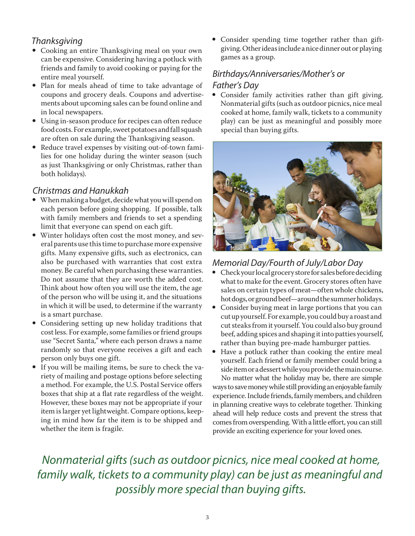# *Thanksgiving*

- Cooking an entire Thanksgiving meal on your own can be expensive. Considering having a potluck with friends and family to avoid cooking or paying for the entire meal yourself.
- Plan for meals ahead of time to take advantage of coupons and grocery deals. Coupons and advertisements about upcoming sales can be found online and in local newspapers.
- Using in-season produce for recipes can often reduce food costs. For example, sweet potatoes and fall squash are often on sale during the Thanksgiving season.
- Reduce travel expenses by visiting out-of-town families for one holiday during the winter season (such as just Thanksgiving or only Christmas, rather than both holidays).

#### *Christmas and Hanukkah*

- When making a budget, decide what you will spend on each person before going shopping. If possible, talk with family members and friends to set a spending limit that everyone can spend on each gift.
- Winter holidays often cost the most money, and several parents use this time to purchase more expensive gifts. Many expensive gifts, such as electronics, can also be purchased with warranties that cost extra money. Be careful when purchasing these warranties. Do not assume that they are worth the added cost. Think about how often you will use the item, the age of the person who will be using it, and the situations in which it will be used, to determine if the warranty is a smart purchase.
- Considering setting up new holiday traditions that cost less. For example, some families or friend groups use "Secret Santa," where each person draws a name randomly so that everyone receives a gift and each person only buys one gift.
- If you will be mailing items, be sure to check the variety of mailing and postage options before selecting a method. For example, the U.S. Postal Service offers boxes that ship at a flat rate regardless of the weight. However, these boxes may not be appropriate if your item is larger yet lightweight. Compare options, keeping in mind how far the item is to be shipped and whether the item is fragile.

• Consider spending time together rather than giftgiving. Other ideas include a nice dinner out or playing games as a group.

# *Birthdays/Anniversaries/Mother's or Father's Day*

• Consider family activities rather than gift giving. Nonmaterial gifts (such as outdoor picnics, nice meal cooked at home, family walk, tickets to a community play) can be just as meaningful and possibly more special than buying gifts.



# *Memorial Day/Fourth of July/Labor Day*

- Check your local grocery store for sales before deciding what to make for the event. Grocery stores often have sales on certain types of meat—often whole chickens, hot dogs, or ground beef—around the summer holidays.
- Consider buying meat in large portions that you can cut up yourself. For example, you could buy a roast and cut steaks from it yourself. You could also buy ground beef, adding spices and shaping it into patties yourself, rather than buying pre-made hamburger patties.
- Have a potluck rather than cooking the entire meal yourself. Each friend or family member could bring a side item or a dessert while you provide the main course. No matter what the holiday may be, there are simple

ways to save money while still providing an enjoyable family experience. Include friends, family members, and children in planning creative ways to celebrate together. Thinking ahead will help reduce costs and prevent the stress that comes from overspending. With a little effort, you can still provide an exciting experience for your loved ones.

*Nonmaterial gifts (such as outdoor picnics, nice meal cooked at home, family walk, tickets to a community play) can be just as meaningful and possibly more special than buying gifts.*